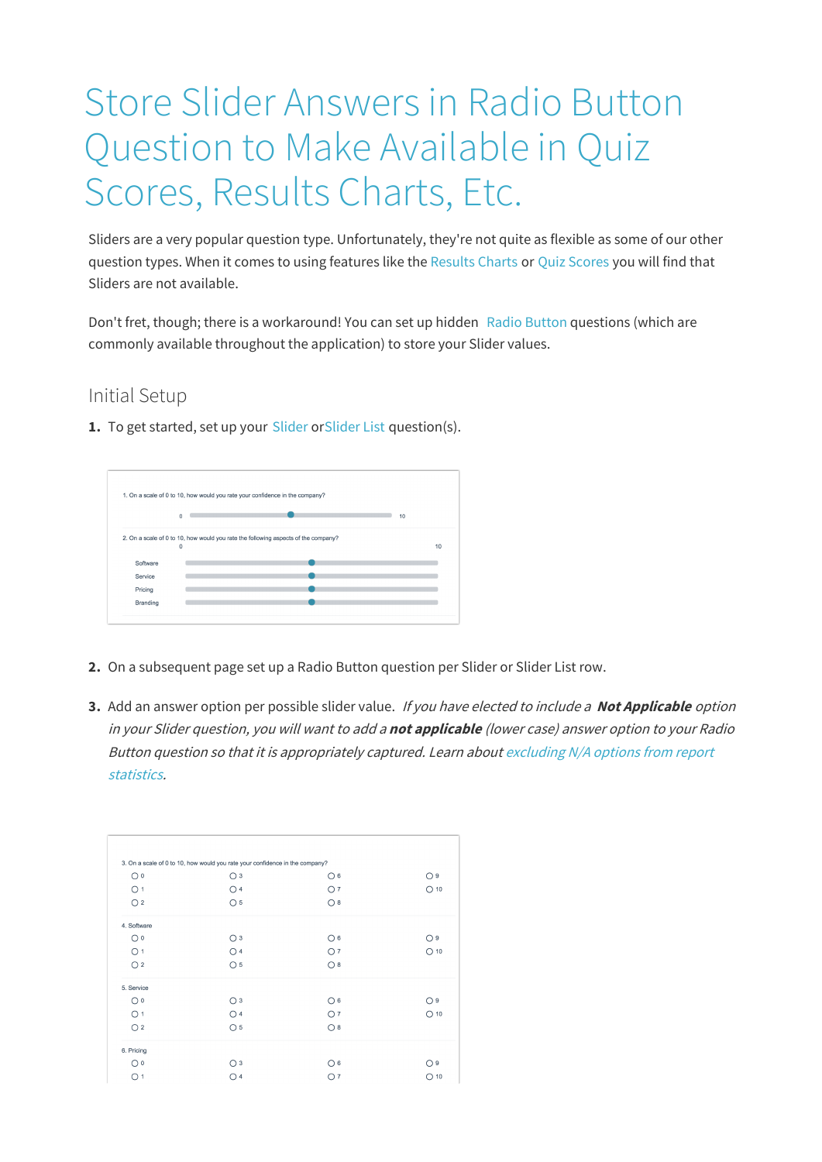## Store Slider Answers in Radio Button Question to Make Available in Quiz Scores, Results Charts, Etc.

Sliders are a very popular question type. Unfortunately, they're not quite as flexible as some of our other question types. When it comes to using features like the Results Charts or Quiz Scores you will find that Sliders are not available.

Don't fret, though; there is a workaround! You can set up hidden Radio Button questions (which are commonly available throughout the application) to store your Slider values.

## Initial Setup

**1.** To get started, set up your Slider orSlider List question(s).

|          | 1. On a scale of 0 to 10, how would you rate your confidence in the company?       |    |
|----------|------------------------------------------------------------------------------------|----|
|          | $\Omega$                                                                           | 10 |
|          | 2. On a scale of 0 to 10, how would you rate the following aspects of the company? | 10 |
|          |                                                                                    |    |
|          | 0                                                                                  |    |
| Software |                                                                                    |    |
| Service  |                                                                                    |    |
| Pricing  |                                                                                    |    |

- **2.** On a subsequent page set up a Radio Button question per Slider or Slider List row.
- **3.** Add an answer option per possible slider value. If you have elected to include <sup>a</sup> **Not Applicable** option in your Slider question, you will want to add <sup>a</sup> **not applicable** (lower case) answer option to your Radio Button question so that it is appropriately captured. Learn about excluding N/A options from report statistics.

|                | 3. On a scale of 0 to 10, how would you rate your confidence in the company? |                |                |
|----------------|------------------------------------------------------------------------------|----------------|----------------|
| $\bigcirc$ 0   | $\bigcirc$ 3                                                                 | $\bigcirc$ 6   | O9             |
| O <sub>1</sub> | O <sub>4</sub>                                                               | O <sub>7</sub> | $O$ 10         |
| O <sub>2</sub> | O <sub>5</sub>                                                               | O8             |                |
| 4. Software    |                                                                              |                |                |
| $\bigcirc$ 0   | $\bigcirc$ 3                                                                 | $\bigcirc$ 6   | O <sub>9</sub> |
| O <sub>1</sub> | O <sub>4</sub>                                                               | O <sub>7</sub> | $O$ 10         |
| O <sub>2</sub> | $\circ$ 5                                                                    | O8             |                |
| 5. Service     |                                                                              |                |                |
| $\bigcirc$ 0   | O <sub>3</sub>                                                               | O <sub>6</sub> | O <sub>9</sub> |
| O <sub>1</sub> | $\bigcirc$ 4                                                                 | O <sub>7</sub> | $O$ 10         |
| O <sub>2</sub> | O <sub>5</sub>                                                               | O8             |                |
| 6. Pricing     |                                                                              |                |                |
| $\bigcirc$ 0   | O <sub>3</sub>                                                               | O <sub>6</sub> | O9             |
| O <sub>1</sub> | $\bigcirc$ 4                                                                 | O <sub>7</sub> | $O$ 10         |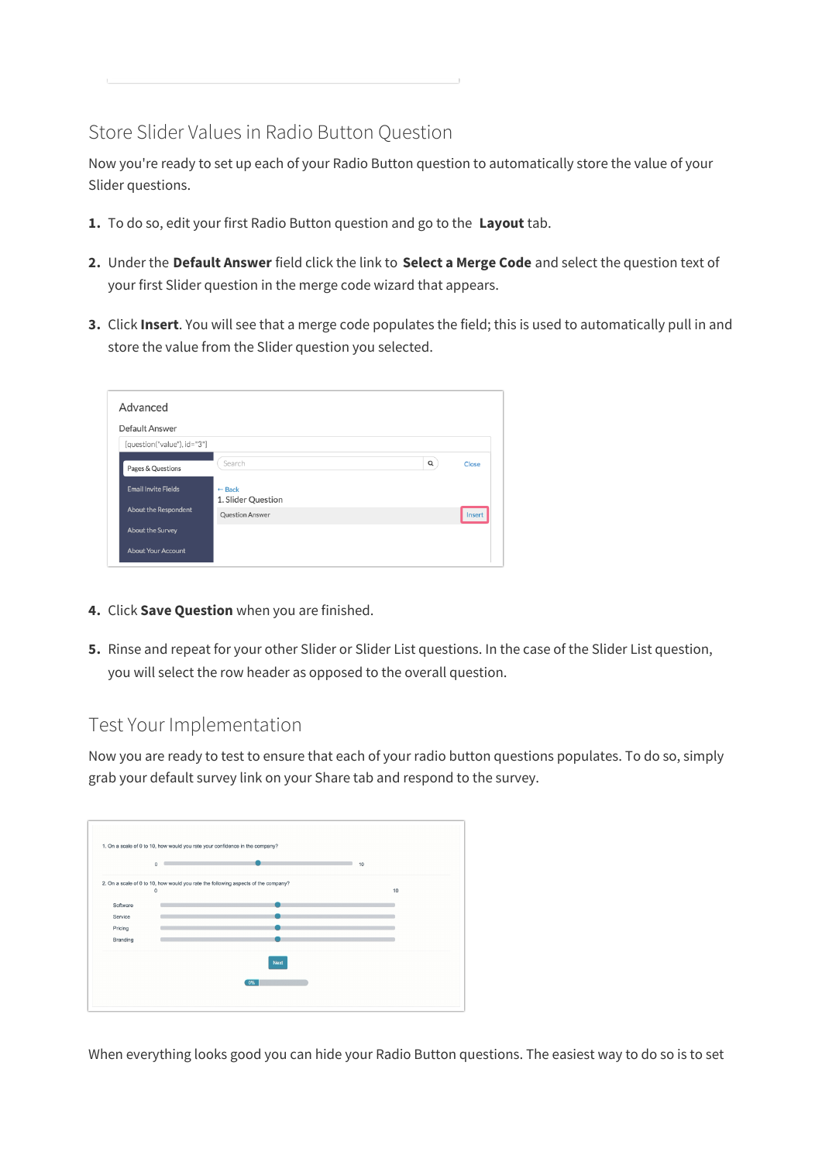## Store Slider Values in Radio Button Question

Now you're ready to set up each of your Radio Button question to automatically store the value of your Slider questions.

- **1.** To do so, edit your first Radio Button question and go to the **Layout** tab.
- **2.** Under the **Default Answer** field click the link to **Select a Merge Code** and select the question text of your first Slider question in the merge code wizard that appears.
- **3.** Click **Insert**. You will see that a merge code populates the field; this is used to automatically pull in and store the value from the Slider question you selected.

| Advanced                    |                                         |          |        |  |  |
|-----------------------------|-----------------------------------------|----------|--------|--|--|
| Default Answer              |                                         |          |        |  |  |
| [question("value"), id="3"] |                                         |          |        |  |  |
| Pages & Questions           | Search                                  | $\alpha$ | Close  |  |  |
| <b>Email Invite Fields</b>  | $\leftarrow$ Back<br>1. Slider Question |          |        |  |  |
| <b>About the Respondent</b> | <b>Question Answer</b>                  |          | Insert |  |  |
| <b>About the Survey</b>     |                                         |          |        |  |  |
| <b>About Your Account</b>   |                                         |          |        |  |  |

- **4.** Click **Save Question** when you are finished.
- **5.** Rinse and repeat for your other Slider or Slider List questions. In the case of the Slider List question, you will select the row header as opposed to the overall question.

## Test Your Implementation

Now you are ready to test to ensure that each of your radio button questions populates. To do so, simply grab your default survey link on your Share tab and respond to the survey.

|          | $\circ$                                                                            | 10 |
|----------|------------------------------------------------------------------------------------|----|
|          | 2. On a scale of 0 to 10, how would you rate the following aspects of the company? |    |
|          | $\mathbf 0$                                                                        | 10 |
| Software |                                                                                    |    |
| Service  |                                                                                    |    |
| Pricing  |                                                                                    |    |
| Branding |                                                                                    |    |
|          | <b>Next</b>                                                                        |    |
|          | 0%                                                                                 |    |

When everything looks good you can hide your Radio Button questions. The easiest way to do so is to set